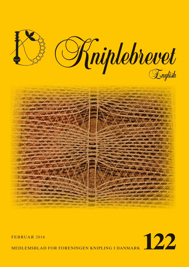



MEDLEMSBLAD FOR FORENINGEN KNIPLING I DANMARK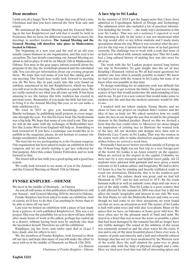# **Dear members**

I wish you all a happy New Year. I hope that you all had a nice Christmas and that you have entered the New Year safe and sound.

We announced the Annual Meeting and the General Meeting in the last Kniplebrevet and told that it would be held in Fredericia. But we have, for different reasons, had to move the meetings to another location. **The Annual Meeting and the General Meeting will therefore take place in Mødecentret, located in Odense.**

The beginning of a new year and the end of an old year usually causes business in our organization, and this year is no exception. The last details concerning our Annual Meeting are about to fall in place. It will be on March 12th in Mødecentret, Odense. You may, in the gray pages, inform yourself about the program of the day, the workshops planned and the scheduled talk. You can also get information about our evening program there. We hope that real many of you feel like taking part in our meeting. Our board does really look forward to meeting you all. We have, like in past years, also this year found an emblem, announced in the last Kniplebrevet, which we hope you will wear in the meeting. The emblem is a puzzle piece. We are really excited to see what you all come up with. It has been amazing to see the fantasy this little tradition has created in previous years. Remember, if you made the little hat last year, to bring it to the Annual Meeting this year, so we can make a little exhibition of it.

We tried in 2015 to give you knowledge about the Binche-technique by publishing small projects in every magazine through the year. For this Els Goor from The Netherlands was a big help. We hope that many of you tried it out. This year we will do the same with the technique of Bedfordshire lace. For this, Louise West from England will help us. Something to look forward to! If you have a technique you would like us to publish in the magazine, please, do not hesitate to contact our design coordinator, Sonja Andersen.

The next fair we are participating in, is the German congress. Our organization has been asked to make an exhibition for the congress, and we are slowly starting to get lace collected for that purpose. After this, comes Tønder Festivalen, and we look forward to that.

The board will at last wish you a good spring and a good lace season.

We really look forward to see many of you at the Annual – and the General Meeting on March 12th in Odense.

## **FYNSKE KNIPLERE – ODENSE**

We meet in the middle of Denmark – in Odense

As you all will notice in this publication of Kniplebrevet, will our Annual - and General Meeting 2016 be moved to Odense.

Fynske Kniplere has been asked to make an exhibition. And of course, we'd love to do that. Can anything be better than to be able to show off our lace?

Last year we hosted an exhibition with a piece of lace made from a pattern of each published Kniplebrevet. This was a set project. This year the possibility for us is to show off lace, which after many hours of work at the pillow, perhaps has ended up in a drawer, without having been seen by anybody else than the lacemaker herself. Therefore we call the exhibition:

Kniplinger, jeg har lavet, som andre også skal se (Lace I have made, also for others to see)

We, the members of Fynske Kniplere, look forward to show off our lace, and hope that many of you will make the effort to meet with us in the middle of Denmark on March 12th 2016.

> *Lis Hansen Chairman of Fynske Kniplere - Odense*

# **A lace trip to Sri Lanka**

In the summer of 2014 I got the happy news that I have been admitted to Copenhagen School of Design and Technology. The admission letter also included a lot of practical information including the words: '… the study trip's destination is this year Sri Lanka'. That was not a sentence I expected to read that morning in July. In the letter it was not mentioned what the trip would offer so my fellow students and I made many speculation about the trip. When it was revealed what the project for the trip was, it turned out that none of us had guessed correctly. The challenge was to work with a craft that none of us had ever worked with, namely making lace. That Sri Lanka had a long cultural history of making lace was also news for all of us.

The work with the Sri Lankan project started long before our trip in November. To gain insight into the art of lace Knipling i Danmark visited us. We all had many questions but number one was: what is actually possible to make? We knew we had ten days with the women in Sri Lanka but none of us knew what was possible in that time.

To design something for an unknown craft was difficult but it helped a lot to get to know the limits. The goal was to design a piece of lace that would modernise the understanding of lace and its use. To put it in a new context that would make sense to modern day life and that the modern customer would be able to use.

I worked with my fellow student, Nynne Skotte, and we chose to base our project on elephant hide's texture and the idea of lace as body art. We asked ourselves how we could make the lace in our design the star that would be the principal element in the finished product. Based on this we devised a form that the lace could relate to. Moreover we chose images for inspiration of existing lace to illustrate the wanted look of the lace. All our sketches and designs were then sent to Dickwella Lace Centre in Sri Lanka. That way the women in the centre were able to make themselves acquainted with our wishes before we arrived a week later.

Personally I had never before travelled outside of Europe so the 18-hour-long flight was my first trip to a very foreign part of the world. Sri Lanka is an Asian country on the equator. When we arrived in the airport in the capital, Colombo, we were met by a very energetic and helpful travel guide. All 22 students were adorned with garlands and were given a warm welcome to Sri Lankan culture and hospitality. We had to drive 4.5 hours in a bus by winding and heavily trafficked roads to reach our destination, Dickwella, that is in the southern part of Sri Lanka. The culture shock was great, and we had left Denmark in 10°C and we had arrived to 34°C. By the roads humans walked as well as animals: cows, dogs and cats were a part of the daily traffic. That Sri Lanka is a poor country that is still affected by the tsunami in 2004 was clear but it did not affect the locals' hospitality and interest in our visit. We were the first Danes to visit the Dickwella Resort and town so even though we had come to see their attractions, we soon found out that we were an attraction as well. The nature of Sri Lanka is lush with palm trees and wild aloe vera plants. Many of the spices that we have on balconies at home grow wild here. We were often met by the pleasant smell of basil and mint. We stayed in a hotel that was as near the water as possible, a place that had been damaged by the tsunami but did no longer have any visible damages. The sound of the wildness of the ocean was constantly around us and the clear water hit the rocks. It was and is one of the most beautiful places I have ever seen. A country of pride and sincerity and a lush and colourful cultural heritage that has not yet been swallowed by the Western view of the world. Here the staff climbed the palm tree to pluck coconuts only with the help of physical strength and a robe. Here we tried new food that was full of interesting spices and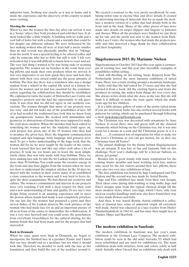unknown taste. Nothing was exactly as it was at home and it made the experience and the discovery of the country so much more exciting.

#### **Meeting the women**

When we met the women the first day after our arrival, it was in a 'house' where they both produced and sold their lace. It almost looked like a little temple. A building with no walls and a roof full of holes but with a charm and a warmth that could be felt despite our different cultures. We were welcomed by the lace making women who all were at least half a metre smaller than us and overall was physically smaller that us 'Vikings' from the north. It was a special feeling to be offered coffee and cake by someone who has so little but still is rich. I felt very welcomed but it was still difficult to know how to react and act. The very last thing I wanted to be was being rude or seeming ungrateful. The women sat on benches in the room bent over big pillows and made their own products when we arrived. It was very impressive to see how quick they were and how they almost with their eyes closed could use the great amounts of bobbins. The first day there was a translator who was a design student from a school in the capital. He acted as a liaison between the women and us and was essential for the communication regarding the collaboration that should be established. We explained in turns the leader of Dickwella Lace Centre our respective projects and she had the opportunity to ask questions. It was clear that we did not agree in our aesthetic convictions. The women thought that many of our projects were too 'easy' and did not make use of the possibilities of lace. All of us had avoided the traditional lace look that we knew from our grandparents' homes. We worked with minimalism and geometry or abstractions of forms that were supposed to make the craft more modern. When the sketches had been edited to something the women and we, the students, could agree on, each project was given one of the 10 women who then had to produce the given lace. Here the linguistic communication stopped and sign language, body language and gestures were used. To get a better understanding of the huge work that the women did for us, we were taught by the leader of the centre. I soon learned that lace just like any other craft takes a lot of practice. It took me too hours just to learn the most simple stitch, chain, that was only made with four bobbins. There we were making lace side by side the Sri Lankan women who used more than 50 bobbins. You could sense the creative energy in the room and also hear giggles from the women when we were too slow to understand the simplest stitches. In the 10 days we shared with the women in their centre many of us established a close connection to the women and it was hard to leave despite the short acquaintance. We had shared our creativity and culture. The women's commitment and interest in our projects were very touching. I left with a deep respect for their craft and a new understanding of time and quality. To see one's own design being created is an amazing experience and to meet the person whose hands had made it was completely priceless. On our last day the women had prepared a party and they served dishes of Sri Lankan desserts. We took pictures of the woman who had made lace for us and an important picture of all us in front of the centre to immortalise the collaboration. It was a very nice farewell and you could sense the gratefulness from everybody. Gratefulness for the cultural sharing, for the human bonds that had been made and for the project that had succeeded.

## **Back in Denmark**

When we once again were back in Denmark, we began to incorporate the finished lace in a product. Nynne and I knew that our lace should end as a necklace but not what it should look like. Therefore we decided to work with the lace as the foundation and then build the rest of the necklace around it.

We created a contrast to the very pretty needlework by combining nylon rope in electric blue and silver details. It created an interesting meeting of materials that for us made the necklace a modern version of a collar that had details both in the front and in the back. Many of the other pieces of lace were made into details on carpet slippers and lingerie to kimonos and dresses. When all the products were finished we put them up for sale and the profit was sent to the women from Dickwella Lace Centre: the women who had made the projects possible and who deserved a huge thank for their collaboration and their hospitality.

# **Slagelsemessen 2015. By Marianne Nielsen**

Slagelsemessen in October 2015 had this year again a cornucopia of exciting lace, and this year also incredible examples of possibilities within tatting.

And, still dwelling on the tatting, Ineke Kniperij from The Netherlands hosted the most fantastic exhibition of tatted items. There was a train, circling around a mountain landscape.

Ineke told that she had tatted for 23 years, and that she had learned it from a book. All the exciting figures and items she produces in tatting, she makes from things she sees every day. She always writes down what she does, as she tats. But she still finds it is difficult to make the train again, which she made years ago for her children.

It is a little picture gallery of some of the pretty tatted items. If you are interested, Ineke has also written several books with patterns for tatting, which can be purchased through following e-mail: inekekniperij@hotmail.com

The Christmas tree was decorated with ornaments by Aase Nielsen. It stood there, nice and green with all the classical ornaments, which belong on the Christmas tree, but it was also room for a mouse in a sock and the Christmas goose or is it a duck……..It contained lots of inspiration for what to make for this year's Christmas, so you can get started, for, as they say, Christmas lasts till Easter!

The annual challenge for the theme behind Slagelsemessen was an octopus. It was lots of fun and fantastic bids on this challenge. Next year's challenge will be a hot-air balloon, so, please, get going!

Besides lots of good stands with many temptations for the coming winter months, and hard working local lace makers who cared for the fair visitors around their lace pillows, there were also two very nice exhibitions of lace.

The first exhibition was hosted by Inge Lindegaard and Else Byskou and the second was lace made by Astrid Bentin.

Inge and Else exhibited lace made from their own designs. Their ideas come during dish-washing or long walks. Inge and Else's designs span from the typical classical design till the more modern styles, where can-rings, which I have only seen used on crochet handbags until now, also have found their way to lace-made flowers and belts.

And then, it was Astrid Bentin. Astrid exhibited a collection of classical lace, some of unknown origin, all extremely well made. Astrid was educated as a lace teacher from Haslev Håndarbejdsskole in 1962-63, and has since then taught lace in Tønder, Højer and Skærbæk.

## **The modern exhibition in Saarlouis**

The modern exhibition in Saarlouis was last year's main exhibition at the German Lace Congress. The modern exhibition could be seen in the old army barracks VI which had been refurbished and are used for exhibitions etc. The main exhibition deals with structure, form and colors, solely in half stitch. Initially when I heard that an exhibition only dealt with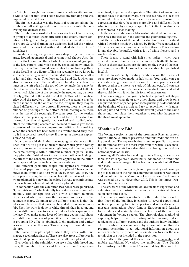half stitch, I thought: you cannot use a whole exhibition and a whole hall for that! But I soon revised my thinking and was impressed by what I saw.

The first eye catcher was the beautiful room containing the exhibition, tall ceilings and stone materials, beautifully contrasting the delicate laces.

The exhibition consisted of various studies of halfstitches, in groups of different geometric forms and colors. Where conditions of height and longer distance between needles varied in groups. Several German lace designers had led the various groups who had worked with and studied the form of half stitch laces.

It might be straight edges and curvy shapes, together or separate. Round, geometrical and asymmetrical shapes. Also the use of a thicker outline thread, which becomes an integral part of the lace pattern, and which may be repeated many times. In this way the outline thread contributes to creating a pattern in the lace. E.g., see figure 1. This is a rectangle, as we know it, with a half stitch ground with equal distance between needles in left and right edge. Then look at fig. 2 and fig. 3, which are also rectangles, where the needles are placed at a certain distance in the left edge. In the top of the rectangle there may be placed more needles in the left half than in the right half. On the vertical right side of the rectangle the needles may be more closely gathered in the middle or at the bottom of the vertical edge. And the needles at the bottom of the rectangle may be placed identical to the ones at the top, or again, they may be placed differently at the bottom. However, there is the same number of prickings at the bottom of the rectangle as there is at the top of the rectangle. The same goes for the vertical edges, so that you may work back and forth. The exhibition showed how they diligently had worked and studied, what effect the different placement of the needles would give to the expression of the lace as compared to traditional lace making. When the concept has been tested in a white thread, they then try it in a colored thread to see, if they get a different expression. And they do.

Now one would think that the rectangular shape was finished, but no! You put in a thicker thread, which gives a totally new expression to the same rectangle. Yes, and then they work the same rectangle with a different number of pairs. Finally, they place the finished works next to each other to highlight the effect of the concepts. This process applies to all the different shapes and figures included in the exhibition.

The different geometric shapes and figures are drawn on checkered paper and the prickings are placed. Then you can move them around and test your ideas. When you draw the work process using the pairs, you check if the pairs/colors exit where planned. If you want the colored thread to continue into the next figure, where should it then be placed?

In connection with the exhibition two books were published, "Quadrat-Raute", which literally translated means "square-diamond". This concept also works with different numbers of pairs and where and how the prickings are placed in the geometric shape. Common to the different shapes is that the edges are plaited so that pairs can be added or taken out invisibly. First the work is done in white thread, then in color, and then in different colors to see what it does to the expression of the lace. They make many laces of the same geometrical shape with different numbers of pairs. When the figures are placed in groups, a 3D effect is obtained. Light, medium and darker laces are made in this way. This is a way to make different pictures.

The same principle applies when they work with fluid shapes, e.g. elliptical figures. There are also great differences in how the shape is drawn and how the needles are placed.

Everywhere in the exhibition you see a play with thread and color, the number of pairs and how the different shapes are combined, together and separately. The effect of many lace figures placed in different ways. You also see how the laces are mounted in layers, and how this elicits a new expression. The expression therefore becomes more alive and different from what is expected by a single shape. The 3D effect has also been incorporated in lace making.

In the same exhibition is a black/white stand where the same principles are used as in the colored and geometrical figures.

At the very back of the modern exhibition room is a stand with a flowering meadow, designed by Esther Wanzenried, and 25 Swiss lace makers have made the lace flowers. This meadow is unbelievably beautiful, with a lot of white flowers and a single red one.

There is also a stand with half stitch ladies , which were created in connection with a workshop with Ruth Bühlmann. Three of these lace ladies are pictured on the cover of the congress map, which the German Lace Association has published in 2015.

It was an extremely exciting exhibition on the theme of structure-shape-color made in half stitch. You really can get inspiration to go home and try out the same principles and figures used in the intensive study of this subject. And you can see that they have reflected on each individual figure and what they could do with it within this form of expresssion.

I can only suggest that you try to find a geometrical shape, e.g. a rectangle, triangle or any other shape, and draw it on a chequered piece of paper, place some prickings as described at the beginning of the article and try to experiment with number of pairs and thread. Then work several pieces of the same shape and then place them together to see, what happens to the structure-shape-color.

# **Wondrous Lace Bird**

The Vologda region is one of the prominent Russian centers where national culture is preserved and folk traditions are being developed. The region obtains its unique peculiarity due to the traditional crafts, the most important of which is lace making. This unique craft has a deep historical background and is a national pride of Russia.

Among all Russian lace making centers Vologda lace is notable for its large-scale accessibility, adherence to traditions and bright artistic images. It has become a symbol of all Russian lace.

Today a lot of attention is given to preserving and developing of lace trade in the region, a number of decisions was taken and one of them is the Museum of Lace creation. The Museum was opened on 3-rd November, 2010. This is the largest Museum of lace in Russia.

The structure of the Museum of lace includes exposition and exhibition halls, an artistic workshop, an educational class, a salon-shop and a café.

The main exposition is situated in the suite of halls on the first floor of the building. It consists of several expositional sections, presenting lace items, photos and other documents, museum installations about famous European and Russian lace centers and certainly about the history of the craft development in Vologda region. The chronological method of exposing helps to trace the history of lacemaking, stylistic tendencies of different periods and the authors' individualities. The exposition is accompanied by a computer multimedia program permitting to get additional information about the museum of lace, the process of its foundation, to show the materials that are not included in the exposition.

The halls on the ground floor are used for changeable and mobile exhibitions. Nowadays the exhibition "The Danish Lace: history and the present" organized together with the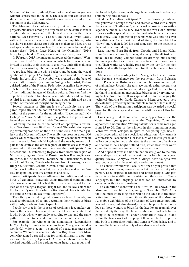Museum of Southern Jutland, Denmark (the Museum Sonderjylland) is presented in the halls. The lace of four centuries are shown here and the most valuable ones were created at the beginning of the 18th century.

The Museum does not only carry out various exhibition projects, but also is among the organizers of the contest events of international importance, the largest of which is the International Lace Festival "Vita Lace". The Festival "Vita Lace", within the framework of which exhibitions-competitions, fashion shows, master-classes for both lace-makers and lace artists and spectacular actions such as "The most mass lace making master-class" (2011), "Lace Heart of the Olympics" (2014) take place, is held in Vologda once in every three years.

In February 2015 the museum announced the contest "Wondrous Lace Bird" in the course of which lace makers were invited to display their originality, creativity and skill, making a lace bird as a visual symbol of the Vologda Region.

A red lace bird on the white background became the visual symbol of the project "Vologda Region – the soul of Russian North" in April 2014. The symbol was created on the base of a lace pattern made by a famous Vologda lace artist, Distinguished Artist of the Russian Federation Angelina Rakcheeva.

A bird isn't a new artificial symbol. A figure of bird is one of the traditional images of Russian culture. One can find the depiction of birds in traditional lace, embroidery and painting. A bird is an ancient symbol of human soul, spirit and also a symbol of freedom of thought and imagination.

Several patterns of different levels of difficulty were prepared especially for the contest "Wondrous Lace Bird". The author of the patterns for the nomination "Lacemaking Is My Hobby" is Maria Medkova and the pattern for professional lacemakers was created by Iraida Zubareva.

Following the results of the contest an eponymous exhibition "Wondrous Lace Bird" was formed. The exhibition opening ceremony was held on the 4th of June 2015 in the main gallery of the Museum of Lace. The exhibition presents about 300 works, which were sent to the museum by lace makers from all over the world. Not only Vologda and the nearby towns took part in the contest, the other regions of Russia are also widely presented at the exhibition: there are the participants from Moscow and St. Petersburg Regions, from northern region of Murmansk, regions of central Russian such as Ryazan, Rostov, Belgorod, the Khabarovsk Territory etc. Furthermore, there are a lot of "foreign" birds, which came from Germany, France, Bulgaria, Australia, Croatia, Slovenia and Poland.

Each work reflects the individuality of a lace maker, her fantasy, imagination, creative approach and skill.

Some participants choose adherence to traditions and made birds of canonical materials, using traditional combinations of colors (severe and bleached flax threads are typical for the lace of the Vologda Region; bright red and yellow colors for the lace of Ryazan; thin white cotton thread characteristic for the famous Croatian lace from Lepoglava).

The other preferred originality, using metalized threads, unusual combinations of colors, decorating their wondrous birds with pearls, beads and bright sparkles.

People say that in the process of working a lace maker entwines threads with her soul, dreams and her view of life. That is why birds, which were made according to one and the same pattern, turn out to be so different at the end of the work.

For example, the winner in the nomination "Lacemaking Is My Hobby" Tamara Senchenko from Vologda created a wonderful white pigeon – a symbol of peace, meekness and calmness. Whereas in contrast, Marina Biryukova from Moscow, who gained a special prize for originality, saw in a pattern an exotic bird, a royal peacock. All the details were carefully worked out, this bird has a plume on its head, a gorgeous mul-

ticolored tail, decorated with large blue beads and the body of shimmering blue threads.

And the Australian participant Christine Beswick, combined red, yellow and orange thread and created a bird with a bright flame-colored "feathering", which evokes associations with a legendary phoenix. The jury awarded the work of Christine Beswick with a special prize as the bird, which made the longest journey. Like a powerful phoenix, who was able to cover long distances for a short period of time, this lace bird has "flown" more than 13000 km and came right to the begging of the contest without delay.

Lace makers Bara Ba ak from Croatia and Milena Kalan from Slovenia admirably managed a very difficult tusk – to make lace following Vologda technical drawing, but keeping the main peculiarities of lace patterns from their home countries. Their works were highly praised by the jury for the high artistic and aesthetic qualities and for the adherence to traditions.

Making a bird according to the Vologda technical drawing also became a challenge for the participant from Bulgaria, Bistra Pisancheva. Bistra has worked out her own unique style of making lace. Usually she tats lace panels either portraits or landscapes, according to her own drawings. But the idea to try her hand in making an unusual lace bird seemed very interesting to her. And the result was splendid: without changing the technical drawing by Iraida Zubareva Bistra created a very delicate bird, preserving her inimitable manner of lace making. The work of the Bulgarian participant was awarded a special prize for the delicacy and cosmic weightlessness of this lace bird.

Considering that there were many applications for the contest from young participants, the Organizing Committee appointed a nomination "Young talent" for lacemakers aged from 15 to 20. One of the winners in this nomination Anna Voronova from Vologda, in spite of her young age, has already accomplished her specialized education. Now Anna is a professional lace maker. Her lace bird of a festive green and yellow coloring immediately attracts the attention of a viewer and seems to be a bright outland bird, which flew from warm countries, where the summer is all the year round.

And a special prize in this nomination was given to the only one male-participant of the contest. For his lace bird of a good quality Alexey Koptyaev from a village near Vologda was awarded a prize for determination and commitment.

The contest "Wondrous Lace Bird" once again proved that the art of lace making reveals the individuality, creativity of a person. Lace inspires, fascinates and unites people. Our participants are from different countries and they speak different languages, but the language of lace can be understood by everyone without any translation.

The exhibition "Wondrous Lace Bird" will be shown in the Museum of Lace till the beginning of November 2015. After that the most interesting birds will be included into the interactive fund used for the mobile exhibitions of the Museum. As mobile exhibitions of the Museum of Lace travel not only around Russia, but also abroad, so it will be possible to have a look at those wondrous birds for the lace lovers from all over the world. By the way, the large exhibition of Vologda lace is going to be organized in Tønder, Denmark in May 2016 and within the framework of this project there will be the opportunity both to appreciate traditional items of Vologda lace and to admire the beauty and variety of wondrous lace birds.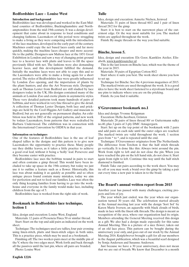## **Bedfordshire Lace – Louise West**

#### **Introduction and background**

Bedfordshire lace was developed and worked in the East Midland counties of Bedfordshire, Buckinghamshire and Northamptonshire from the mid-19th century. It was a design development that came about in response to local conditions and changing fashions. Lacemakers of this period were struggling to make a living as they were competing with the introduction of the lace machines, developed in the early part of the century. Machines could copy the net based laces easily and far more quickly, making the machine laces cheaper and more accessible to the public. Designers saw Maltese lace at the 1851 Great Exhibition in London and saw a way of changing point ground lace to a heavier lace with plaits and leaves to fill the space previously filled with net. The fashions were also demanding heavier laces, and this development fulfilled the demand. Initially the machine laces were not able to copy this and so the Lacemakers were able to make a living again for a short period. The styles of Bedfordshire lace were greatly influenced by London Zoo opening, and the importation of plants by the plant hunters, and also the Art Nouveau style. Designers such as Thomas Lester from Bedford are still studied by lace designers today in the UK. His designs contained many of the animals at London Zoo and exotic plants in asymmetric styles. These very detailed patterns took many hundreds of pairs of bobbins, and were worked in very fine thread to give the detail. A collection of Thomas Lester Designs, both lace and prickings are held by the Cecil Higgins Art Gallery and museum in Bedford, but are not generally on permanent display. An exhibition was held in 2002 of the original patterns, and new work by todays Lacemakers, from patterns that were redrafted by Barbara Underwood. The exhibition was in connection with the International Convention by OIDFA in that year.

### **Information on techniques**

One of the features of Bedfordshire lace is the use of leaf shaped tallies in the designs and this pattern is to give new Lacemakers the opportunity to practice these. Many people say they dislike leaves, as it takes a little practice to achieve a good oval leaf, without it being a 'holly' leaf. Persevere and they become easier with practice.

Bedfordshire lace uses the bobbins wound in pairs to start and often contains a gimp thread. This would have been included to take up space in the 19th century, but today we just use it to outline a feature such as a flower. Historically, this lace was about making it as quickly as possible and so often antique pieces found contain many mistakes, today we aim for perfection and not to feed our families. Lace was often the only thing keeping families from having to go into the workhouse and everyone in the family would make lace, including children from the age of 5.

Bedfordshire lace is worked from the right side of work.

## **Bookmark in Bedfordshire lace technique, lection 1**

Idea, design and execution: Louise West, England

Materials: 12 pairs of Presencia Finca 50 or similar thread. Start: Start on the top and add pairs as indicated on the work sheet.

Technique: The techniques used are tallies, four pair crossing using linen-stitch, plaits and linen-stitch edges in both sides. This is a practice piece, which may be used as a bookmark.

Finishing off: The two worker-pairs meet at the middle pin of the V, where the two edges meet. Work forth and back through all the passives until the last pin, where all pairs are braided.

Photo: Louise West

## **Tulle**

Idea, design and execution: Annette Nielsen, Jernved

Materials: 31 pairs of linen thread 60/2 and 1 pair of linen thread 28/2 for the gimp.

Start: it is best to start on the narrowest place of the outermost edge. Or the way most suitable for you. The marked twists are applied throughout the work.

Finish: By magic threads or the way you find suitable.

## **Binche, lesson 5.**

Idea, design and execution: Els Goor, Kantklos Atelier, Elisabeth, www.kantklosatelier.nl

This is the last lesson on Binche lace, which was the theme of the year in 2015.

Materials: 30 pairs of Egyptian Cotton 80/2

Start where it suits you best. The work sheet shows you how to set up.

Technique for Binche: See the 4 previous magazines of 2015. The marked twists are used throughout the work. It is a good idea to have the work sheet fastened to a styrofoam board and use pins to indicate where you are on the pricking.

Finish: As you find it suitable.

## **S'Gravenmoer bookmark no.1**

Idea and design: Yvonne Krijgsman

Execution: Hella Jacobsen, Gråsten

Materials: 28 pairs of linen thread 80/ or Guttermann sulky no.40, plus 3 pairs of 3-ply DMC Amagergarn.

Start: Set up on the top point of the bookmark with 2 pairs and add pairs on each side until the outer edges are reached. The marked twists are valid throughout the work. 1 section goes from \* to \*, and is repeated until the end.

Technique: S'Gravenmoer originates from The Netherlands. The difference from Torchon is that the half stitch threads go vertically. It is done like this: Always twist around the pin. Work from right to left and do not close the pin. When you have reached the pin on the left hand side, do not close it. Start again from right to left. Continue this way until the half stitch diamond is finished.

Finish: Take out pairs according to the work sheet. You may tie off or you may work a braid over the gimp by taking a pair out every time a new pair is taken in to the braid.

## **The Board's annual written report from 2015**

Another year has passed with many challenges, exciting projects and lots of joy.

The year which just ended, was the year when our organization turned 30 years old. The celebration started already at the Annual meeting last year with the design 'Sort Sol' by Karen Marie Iversen, an aquarelle with black clouds of birds, made in lace with the finest silk threads. The design is meant as recognition of the area, where our organization had its origin. Members attending the General Meeting received this design as a gift. We also had a design made especially for this same Annual Meeting. This is a picture of a nice flower, taken out of an old lace piece. This pattern can be bought during the anniversary year only, and goes out of our stock by the Annual Meeting 2016. Kniplebrevet brought a gift for all our members in the August publication, which was a beautiful scarf designed by Sonja Andersen and Susanne Andersen.

Just because we have a 30 year anniversary, does not mean that we are out of breath. We know that December is a month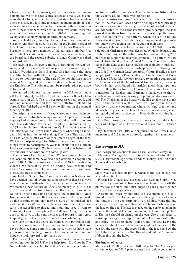where many people, for many good reasons, cancel their membership. But we often receive nice letters and mails, which contains thanks for good membership, but time has come when one's eyes fail, and it is time to cancel the membership. It is always sad to see a member go, but fortunately, there is an even flow of new members, which is fantastic. We could therefore welcome the new member, number 20.000. It is amazing that we have had so many members through the years.

We also had to say goodbye to one of our board-members. Susanne Andersen decided to go out of the board in order to be able to use more time for writing articles for Kniplebrevet. Susanne is therefore a member of the editorial staff. Our first substitute, Lis Vester, was for personal reasons not able to join the board, and the second substitute, Linda Olsen, was called upon instead.

We have for the last two years, had a 'Bobbin of the year' designed and this was also done this year. The designer this year is Mary Woodthorpe from England. She has made the most beautiful bobbin with blue springflowers, really something for you to look forward to. The sale of the bobbin starts at the Annual Meeting, and can from this day also be ordered from the Knipleshop. The bobbin cannot be preordered or put aside beforehand.

We started a big international project in 2015 concerning a gift to Her Majesty the Queen and the Prince for their Golden Anniversary in 2017. This project progresses real good, and we have received the first lace pieces both from inland and abroad. The finished gift will be on exhibition on the Annual Meeting in 2017.

Our trip this year went to Køng Museum, where we in cooperation with Storstrømskniplerne and Kniplerne fra Vordingborg had arranged an exhibition of old as well as modern lace. The exhibition was called 'Knipling I Danmark før og nu' ('Lace in Denmark then and now'). After having seen the exhibition, we had a workshop arranged, where Inge Lindegaard led us into the art of making Free Lace. This was a bit of a challenge, as pins were only set on the edges of the lace. We have no trip arranged for 2016, as there are so many other things for us to participate in. We shall exhibit in the German Lace Congress in April. We have never tried that before, and are anxious to see what we can come up with.

Many classes have been offered. We have given classes on our location, but some have also been offered in cooperation with FOR A. These classes were held at FORA's location in Odense. We constantly work on finding new teachers and topics for classes. If you know about somebody or have ideas, please, feel free to contact us.

We held an 'Open House' on our location in Nyborg. We have decided that this event has come to stay, as there is always good attendance with lots of visitors, which we appreciate a lot. We started a new activity on 'Årets Knipledag' in 2014, did it in 2015 also, and plan to continue the effort in the future. What we do, is to send the same pricking to the chairmen of Årets Knipledag and ask them that one lacemaker in the group work on this pricking on that day, take a picture of the finished lace and send it to us. We are then able to see how different the lace turns out according to thread and mounting used. I want to thank all of you for accepting this challenge. A big thank you goes to all of you, who sent pictures and reports from 'Årets knipledag' to us. The response has been overwhelming.

We have through the years had contact with pattern designers from abroad, and we hope that you have noticed that. We have published some patterns from them, which we hope have given you some challenge. We still have some on hand, and we hope you look forward to try them out.

The theme 'The technique of Binche' in our magazine was something new in 2015. The big help from Els Goor in The Netherlands made us able to do this. She has done a fantastic

job for us. Bedfordshire lace will be the theme for 2016, and for this we have asked Louise West to help us.

Our reconstruction group works hard with the reconstruction of the many old laces and/or prickings, where prickings and/or work sheets are missing. The group of laceladies, which are connected to the reconstruction group, sample the lace provided to them from the reconstruction group. The group also tries out many of the patterns, which are sent to us. The reconstruction group and the lace group are making a great job, and we give them a big thank you for their work.

Julemærkehjemmene have received kr. 11.250,00 from the sale of our Christmas pattern, designed by Helle Schulz. Lone Nielsen has designed the pattern which we will sell during 2016 in order to support Julemærkehjemmene. The pattern will be on sale from the day of our Annual Meeting. Our organization tanks Helle Schulz and Lone Nielsen for their contributions.

We have already decided to participate in the following fairs in 2016: The German Lace congress, Viborg Husflids messe, Kniplings-festivalen i Tønder, Slagelse Kniplemesse and Kreative Dage I Fredricia. We look forward to meeting you around.

The members of the board would like to thank you everybody who has contributed with articles, good ideas, input and above all, patterns for Kniplebrevet. Thank you to all our translators for English and German, a thank you to the reconstruction – and lace making group. You all do a wonderful job. The Chairman of the board would like to give a big thank you to the members of the Board for a good year, for nice and constructive cooperation, where working together and idea-richness goes hand in hand. Our meetings are always held in a good and constructive spirit. Everybody is working hard for our association.

Our Board would also like to say thank you to all the volunteers, who help us on all levels, we could never make it without you.

By December 31st, 2015, our organization had 1.599 Danish members and 212 members abroad, together 1814 members.

## **Easter-egg in 3D.**

Idea, design and execution: Mona-Lise Pedersen, Ølstykke

Materials: The egg: 14 pairs of ivory colored Goldschild Nm 50/3, 1 styrofoam egg from Panduro Hobby, size 10x7 and 3mm. wide satin ribbon.

#### **The Easter egg:**

Start: Make 2 pieces of part 1, which is the Easter egg. See work sheet, fig. 1.

Finish: The 2 parts are starched with Belgian Starch twice so that they have some firmness before taking them off the pillow. Sew the start- and finish edges on each piece together. Now you have 2 egg-halves.

Assembling: Start by marking the styrofoam egg. Use a thread from the top to the bottom of the egg in order to mark the middle of the egg, forming a vertical line. Mark the line with a permanent marker. This line will be used when putting the lace on the egg. The lace is placed on the egg by aligning its edge to the marked line and pinning in each hole. See picture 2. The lace should sit firmly on the egg. Use a hair drier to warm up the egg for a couple of minutes. The starch will soften and cause the lace to shape itself around the egg. Leave the pins in for about 1 hour, take the pins out and the lace off the egg. Do the same with the second half of the lace egg. Sew the two halves together with a thin thread, and put the 3 mm. satin ribbons through the holes.

#### **The branch of leaves:**

Materials: DMC 80, color 368, DMC 80, color 369, Anchor purl cotton no.8, color 242. 2 pairs are used every time you start on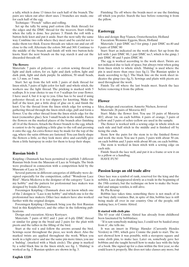a tally, which is done 13 times for each half of the branch. The pairs are taken out after short uses. 2 branches are made, one for each half of the egg.

Technique: "French" tallies and rolling.

Set up the tally by using purl cotton (the thick thread) for the edges and the DMC thread for the weavers. Start rolling when the tally is done. See picture 3. Finish the roll with a button-hole knot and put it aside. Start the next tally the same way. Combine two rolls where they meet and be careful not to make them too thick. Excess threads are taken out and cut off close to the roll. Alternate the colors 368 and 369. Continue to the middle of the branch and finish off with two button-hole knots. Start the next branch on the top, starch it and cut the discarded threads off.

### **The flowers:**

Materials: 7 pairs of polyester – or cotton sewing thread in light and dark colors, for ex. light and dark yellow, light and dark pink, light and dark purple. In addition, 50 small beads, str. 1,5 mm. or 3 mm.

Start: Set up from the left with 2 pairs of dark thread for linen stitch, 5 pairs of light color for half- and whole stitch, the workers use the light thread. The pricking is marked with 5 scallops. It is your choice to use 4 or 5 scallops for your flower. I have used 4, but it is up to you. Glue has to be used if using polyester thread, as it is too slippery for knotting. Make the half of the knot, put a little drop of glue on it, and finish the knot. Use the thread from the linen stitch edge for sewing a gathering thread through the linen stitch edge, pull and form a flower. Use the other thread from the linen stitch edge for the knot (remember glue). Sew 3 small beads in the middle. Fasten the flowers on the marked places of the branch after finishing all 14 of the flowers. Attach the flower branch to the egg, which is easiest to do by applying a little glue to the roll and pressing it onto the egg. An extra flower may be made for the top of the egg, where the satin ribbons are fastened. You can finely shape the flowers a little, so they look more alive and carefully give them a little hairspray in order for them to keep their shape.

# **Russian birds 1**

Knipling i Danmark has been permitted to publish 3 different Russian birds from the Museum of Lace in Vologda. The birds were produced in connection with a competition held by the Museum of Lace in 2015.

Several patterns in different categories of difficulty were designed especially for the competition, called ''Wondrous Lace Bird''. Maria Medcova is the designer of the category ''Lace is my hobby'' and the pattern for professional lace makers was designed by Iraida Zubareva.

Foreningen Knipling i Danmark does not know which one of the 2 designs is ''Lace is my hobby'' and which one is for the professional lace makers. Other lace makers have also worked further with the original designs.

Foreningen Knipling i Danmark bring you the first Russian bird in this Kniplebrevet, and the other in the following publications.

Design and execution: Alexey Kortyaev.

Materials: 7 pairs of 60/2 and 1 pair of 6-ply DMC thread or similar for gimp in the braid and 2 pairs for the plait with picots and the tallies in the filling of the bird.

Start at the red x and follow the arrows around the bird. Sewings occur throughout the piece, see work sheet. Also the marked twists are applied throughout the work. When you work in a tight curve and use the same pin more times, you use a 'hulslag'. (marked with a black circle). The gimp is marked by a solid black line in the linen stitch, see fig. 1. 'Hulslag' is worked as fig. 2. Russian spiders are shown in fig. 3.

Finishing: Tie off where the braids meet or use the finishing off which you prefer. Starch the lace before removing it from the pillow.

# **Easteregg**

Idea and design: Bep Vianen, Oosterhesselen, Holland

Execution: Wemmie Eggens, Sleen, Holland

Materials: 1 pair DMC no.5 for gimp, 1 pair DMC no.40 and 9 pairs of DMC 80

Start: Start as indicated on the work sheet. Set up from the left with 1 pair DMC 80, 1 pair DMC no.5, which is the gimp, 1 pair DMC 40 and 5 pairs DMC 80.

The egg is worked according to the work sheet. Twists are not indicated due to lack of space, but always twist when going from linen stitch to whole stitch. 'Hulslag' is used where the pin is used more than once (see fig.1). The Russian spider is made according to fig.2. The black line on the work sheet indicates the gimp (see fig.3). Sewings and plaits with picots are used throughout the work.

Finish: Tie off where the last braids meet. Starch the lace before removing it from the pillow.

# **Flower**

Idea, design and execution: Annette Nielsen, Jernved

Materials: 26 pairs of Moravia 40/2

Start: Make the flower first. You use 10 pairs of Moravia 40/2, about 1m. on each bobbin. 4 pairs of orange, 3 pairs of yellow and 3 pairs of ochre-yellow are used in the sample.

The flower is worked with a sewing edge in whole stitch on each side and half stitch in the middle and is finished off by tieing the ends.

Stem: Sew the pairs for the stem in to the finished flower and work the stem. You use 6 pairs, 3 pairs with about 50 cm. on each bobbin and 3 pairs with about 80 cm. on each bobbin.

The stem is worked in linen stitch with a sewing edge on each side.

Finish: Starch the lace well, and put it in a frame or sew it on to a pillow or a handbag.

HAVE FUN!

# **Passion keeps an old trade alive**

Once lace was a symbol of rank, reserved for the king and the nobility. Lace disappeared slowly as a trade in the beginning of the 19th century, but the technique on how to make the beautiful and unique textiles, is still alive.

By Pia Krarup

Bobbin lace takes time, something there is not much of in our busy daily routines. But, in spite of this, bobbin lace is still being made all over in our country. One of the people, still making lace, is Connie Alsted.

## **It started with cloth pins**

The 63 year old Connie Alsted has already from childhood been fascinated by bobbinlace.

''If is saw somebody making lace, I could not be hauled away from it', she tells me.

It was an insert in Flittige Hænder (Currently Hendes Verden) in 1981, which gave Connie the push to start. The insert showed how it was possible, with a steropore square and some cloth pins, to make lace. Later on, somebody gave her bobbins and she taught herself how to make lace with the help of a book. She signed up for a class within the first year, so she could learn it properly. She does not take classes any more, but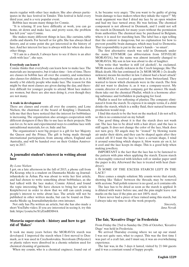meets regular with other lace makers. She also always participates in the lace festival in Tønder. This festival is held every third year, and is a very popular event.

Bobbin lace means many things for Connie.

''It is relaxing. If you have difficulty at work, you can go home, sit down and make lace, and pretty soon, the problem has left you'' says Connie.

She makes many different things in lace, like curtains, table cloths and shawls. For herself or for gifts. She has always liked history, and at some point she got interested in the history of lace. And her interest for lace is always with her when she does other things.

''If I am in a church, I always have to see if there is an alter cloth with lace'', she says.

#### **Everybody can learn it**

Connie thinks that everybody can learn how to make lace. The materials are inexpensive, but it takes time – lots of time. There are classes in bobbin lace all over the country, and sometimes also classes for children. Even though everybody can do it, it is mostly a bit elderly people who make lace. The reason for this might be that most classes are given during the day, and therefore difficult for younger people to attend. Most lace makers are women, but there are also men doing it, even though they are not many.

#### **A trade in development**

There are classes and events all over the country, and Lone Nielsen, the chairman of the board of Knipling i Danmark, tells me that they have noticed that the interest for bobbinlace is increasing. The organization also arranges cooperation with different designers if they like to use lace in their projects. This can for ex. be new and experimental ways to combine lace with untraditional materials, for ex. hide and fur.

The organization's next big project is a gift for her Majesty the Queen and the Prince. The gift is being made through international participation, from among others, England and Australia, and will be handed over on their Golden Anniversary in 2017.

# **A journalist student's interest in writing about lace**

#### *By Lone Nielsen*

I got, on a late afternoon in the fall of 2015, a phone call from Pia Krarup, who is a student on Danmarks Medie og Journalisthøyskole in Århus. Pia was about to write her first article, and had chosen to write something about bobbinlace, as she had talked with the lace maker, Connie Alsted, and found the topic interesting. We have chosen to bring her article in Kniplebrevet in order to show that we still can catch young people's interest to write about lace. The article will not be published in other written media, but can be found on Danmarks Medie og Journalisthøyskoles own intranet.

Not only has Pia written an article, but she has also made a short YouTube-video. If you are interested in seeing it, try this link: https://youtu.be/S1yEmBDI84A

## **Moravia super-starch – history and how to get rid of 'flakes'**

It took me many years before the MORAVIA starch was developed. I imported the starch when I first moved to Denmark, as it was used in Czechoslovakia. Sterofoam (Polyester) or plastic rulers were dissolved in a chemic solution used for chemical cleaning of garments.

When my cousin, who is a chemical engineer, found out of

it, he became very angry. ''Du you want to be guilty of giving brain damage to lace makers when they inhale the vapor?'' My weak argument was that I dried my lace by an open window and had my face turned away. He was furious. The chemical component is not allowed in Denmark, and I could not sell the starch in Denmark for many years without the permission from authorities. The chemical may be purchased in Belgium, where it is used for starching hats. The label has a sign telling that the content is dangerous, but no explanation for how to prevent possible brain damages, which may lead to Dementia. That responsibility is put in the user's hands – 'so smart'.

The first alternative starch was sold in Denmark under the name STIVMOR (an abbreviation from STIVELSE MORAVIA), but the name was almost instantly changed to MORAVIA. My son in law was about to die of laughter.

You write that 'mother is stiff (of alcohol)', he exclamed. MOR means a deadly sickness in the Czech language, like The Black death. His fun continued in  $2x$  MOR MOR (=2x deadly sickness) means his mother in law. I almost had a heart attack!

MORAVIA. I received a question from Switzerland. They wanted to know which chemicals were in the starch. The firm did not want to disclose it, as it was a company-secret. My cousin, director of another company, got the answer. He made them take out the chemical Phallat, which is a hormone altering substance and forbidden in packaging for food.

Phallat is used for softening of plastics. The company eliminated it from the starch. To express it in simple terms, if a child drinks the starch, which is a milky fluid, their natural hormone production would stop.

I find this starch to be the best on the marked. I do not sell it, so this is no commercial on my behalf.

One good thing about it is that the starch does not wash out. The lace has to be dried with a hair dryer, and the lace is stiff again. It does not change the color of the lace, black does not turn grey. 3D angels may be ''ironed'' by blowing warm air under their skirts, and they can be shaped again after they cooled off. If I want the lace to have a certain shape, I wind it around something which shapes it, blow warm air on it, let it cool and the lace keeps its shape. This is a good help when making jewellery.

IMPORTANT is the fact that the lace has to be fastened to the pattern with pins when applying the starch. Excess starch is thoroughly removed with kitchen roll or similar paper until the paper is dry. Afterward the lace is treated with heat (hairdryer).

IS SOME OF THE EXCESS STARCH LEFT IN THE LACE?

Here comes a simple solution: My cousin wrote that starch, showing like 'flakes' between the threads, may be removed with acetone. Nail polish remover is no good, as it contains oils.

The lace has to be dried as soon as the starch is applied. It is diluted with water before use, and the pins might leave rust marks on the lace if the pins are not 100% steel.

I have never had a piece of lace ruined using this starch, but I always take my time to do the work properly.

> *Sincerely, Jana Novak*

## **The fair, 'Kreative Dage' in Fredericia**

From Friday the 23rd to Sunday the 25th of October, 'Kreative Dage' was held in Fredericia.

We arrived Thursday evening where we sat up our stand. I was not quite sure, what to expect. This was the first time I was part of a craft fair, and I must say, it was an overwhelming experience.

The fair was, in the 3 days it lasted, visited by 21 044 guests and it was a constant sound of happy people.